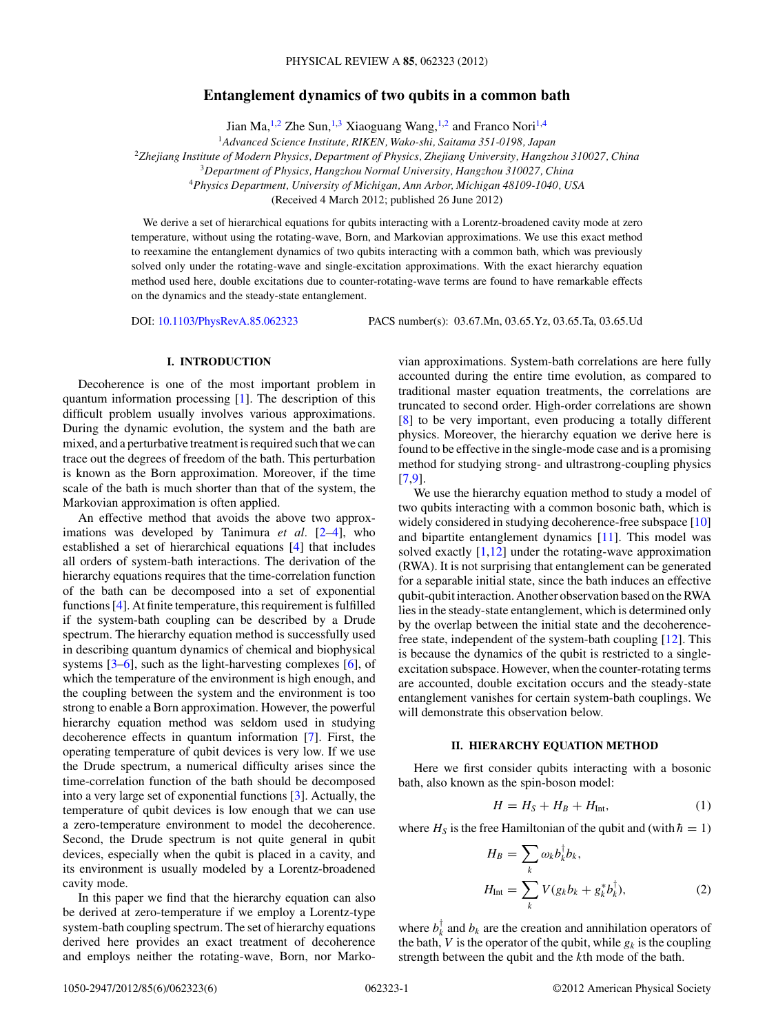# **Entanglement dynamics of two qubits in a common bath**

Jian Ma,<sup>1,2</sup> Zhe Sun,<sup>1,3</sup> Xiaoguang Wang,<sup>1,2</sup> and Franco Nori<sup>1,4</sup>

<sup>1</sup>*Advanced Science Institute, RIKEN, Wako-shi, Saitama 351-0198, Japan*

<span id="page-0-0"></span><sup>2</sup>*Zhejiang Institute of Modern Physics, Department of Physics, Zhejiang University, Hangzhou 310027, China*

<sup>3</sup>*Department of Physics, Hangzhou Normal University, Hangzhou 310027, China*

<sup>4</sup>*Physics Department, University of Michigan, Ann Arbor, Michigan 48109-1040, USA*

(Received 4 March 2012; published 26 June 2012)

We derive a set of hierarchical equations for qubits interacting with a Lorentz-broadened cavity mode at zero temperature, without using the rotating-wave, Born, and Markovian approximations. We use this exact method to reexamine the entanglement dynamics of two qubits interacting with a common bath, which was previously solved only under the rotating-wave and single-excitation approximations. With the exact hierarchy equation method used here, double excitations due to counter-rotating-wave terms are found to have remarkable effects on the dynamics and the steady-state entanglement.

DOI: [10.1103/PhysRevA.85.062323](http://dx.doi.org/10.1103/PhysRevA.85.062323) PACS number(s): 03*.*67*.*Mn, 03*.*65*.*Yz, 03*.*65*.*Ta, 03*.*65*.*Ud

### **I. INTRODUCTION**

Decoherence is one of the most important problem in quantum information processing [\[1\]](#page-5-0). The description of this difficult problem usually involves various approximations. During the dynamic evolution, the system and the bath are mixed, and a perturbative treatment is required such that we can trace out the degrees of freedom of the bath. This perturbation is known as the Born approximation. Moreover, if the time scale of the bath is much shorter than that of the system, the Markovian approximation is often applied.

An effective method that avoids the above two approximations was developed by Tanimura *et al.* [\[2–4\]](#page-5-0), who established a set of hierarchical equations [\[4\]](#page-5-0) that includes all orders of system-bath interactions. The derivation of the hierarchy equations requires that the time-correlation function of the bath can be decomposed into a set of exponential functions [\[4\]](#page-5-0). At finite temperature, this requirement is fulfilled if the system-bath coupling can be described by a Drude spectrum. The hierarchy equation method is successfully used in describing quantum dynamics of chemical and biophysical systems [\[3–6\]](#page-5-0), such as the light-harvesting complexes [\[6\]](#page-5-0), of which the temperature of the environment is high enough, and the coupling between the system and the environment is too strong to enable a Born approximation. However, the powerful hierarchy equation method was seldom used in studying decoherence effects in quantum information [\[7\]](#page-5-0). First, the operating temperature of qubit devices is very low. If we use the Drude spectrum, a numerical difficulty arises since the time-correlation function of the bath should be decomposed into a very large set of exponential functions [\[3\]](#page-5-0). Actually, the temperature of qubit devices is low enough that we can use a zero-temperature environment to model the decoherence. Second, the Drude spectrum is not quite general in qubit devices, especially when the qubit is placed in a cavity, and its environment is usually modeled by a Lorentz-broadened cavity mode.

In this paper we find that the hierarchy equation can also be derived at zero-temperature if we employ a Lorentz-type system-bath coupling spectrum. The set of hierarchy equations derived here provides an exact treatment of decoherence and employs neither the rotating-wave, Born, nor Markovian approximations. System-bath correlations are here fully accounted during the entire time evolution, as compared to traditional master equation treatments, the correlations are truncated to second order. High-order correlations are shown [\[8\]](#page-5-0) to be very important, even producing a totally different physics. Moreover, the hierarchy equation we derive here is found to be effective in the single-mode case and is a promising method for studying strong- and ultrastrong-coupling physics [\[7,9\]](#page-5-0).

We use the hierarchy equation method to study a model of two qubits interacting with a common bosonic bath, which is widely considered in studying decoherence-free subspace [\[10\]](#page-5-0) and bipartite entanglement dynamics [\[11\]](#page-5-0). This model was solved exactly  $[1,12]$  under the rotating-wave approximation (RWA). It is not surprising that entanglement can be generated for a separable initial state, since the bath induces an effective qubit-qubit interaction. Another observation based on the RWA lies in the steady-state entanglement, which is determined only by the overlap between the initial state and the decoherencefree state, independent of the system-bath coupling [\[12\]](#page-5-0). This is because the dynamics of the qubit is restricted to a singleexcitation subspace. However, when the counter-rotating terms are accounted, double excitation occurs and the steady-state entanglement vanishes for certain system-bath couplings. We will demonstrate this observation below.

### **II. HIERARCHY EQUATION METHOD**

Here we first consider qubits interacting with a bosonic bath, also known as the spin-boson model:

$$
H = H_S + H_B + H_{\text{Int}},\tag{1}
$$

where  $H<sub>S</sub>$  is the free Hamiltonian of the qubit and (with  $\hbar = 1$ )

$$
H_B = \sum_k \omega_k b_k^{\dagger} b_k,
$$
  
\n
$$
H_{\text{Int}} = \sum_k V(g_k b_k + g_k^* b_k^{\dagger}),
$$
\n(2)

where  $b_k^{\dagger}$  and  $b_k$  are the creation and annihilation operators of the bath, *V* is the operator of the qubit, while  $g_k$  is the coupling strength between the qubit and the *k*th mode of the bath.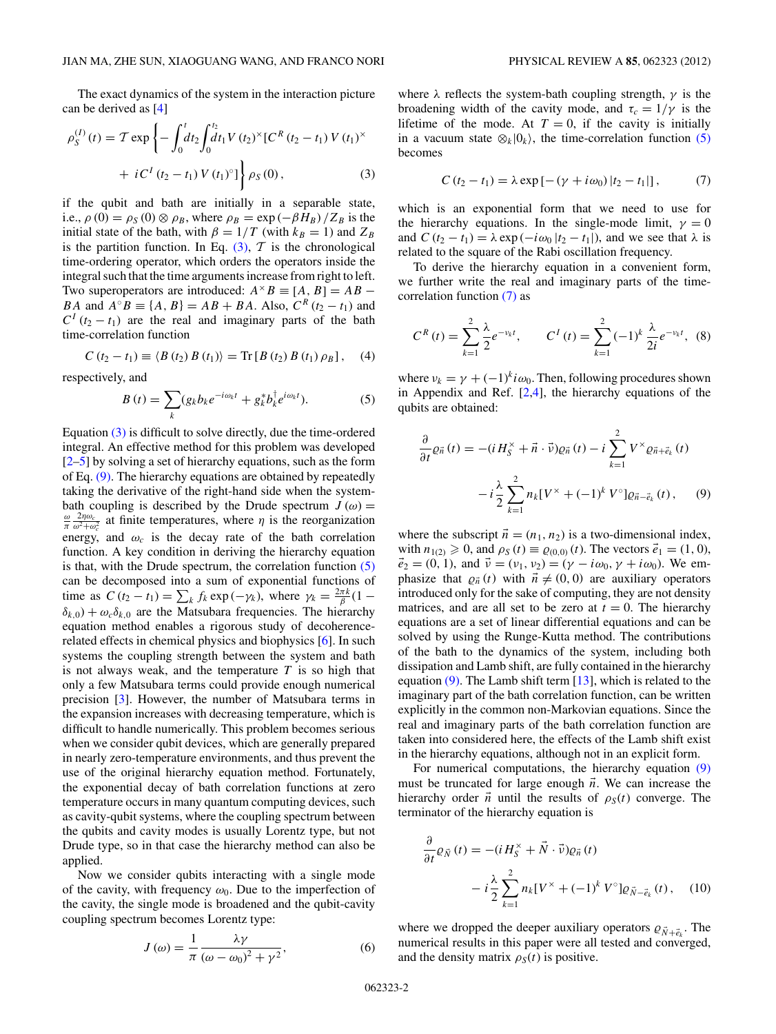<span id="page-1-0"></span>The exact dynamics of the system in the interaction picture can be derived as [\[4\]](#page-5-0)

$$
\rho_S^{(I)}(t) = \mathcal{T} \exp \left\{ - \int_0^t dt_2 \int_0^{t_2} dt_1 V(t_2)^{\times} [C^R(t_2 - t_1) V(t_1)^{\times} + iC^I(t_2 - t_1) V(t_1)^{\times}] \right\} \rho_S(0),
$$
\n(3)

if the qubit and bath are initially in a separable state, i.e.,  $\rho(0) = \rho_S(0) \otimes \rho_B$ , where  $\rho_B = \exp(-\beta H_B)/Z_B$  is the initial state of the bath, with  $\beta = 1/T$  (with  $k_B = 1$ ) and  $Z_B$ is the partition function. In Eq.  $(3)$ , T is the chronological time-ordering operator, which orders the operators inside the integral such that the time arguments increase from right to left. Two superoperators are introduced:  $A^{\times}B \equiv [A, B] = AB -$ *BA* and  $A^{\circ}B \equiv \{A, B\} = AB + BA$ . Also,  $C^{R}(t_2 - t_1)$  and  $C^I(t_2 - t_1)$  are the real and imaginary parts of the bath time-correlation function

$$
C(t_2 - t_1) \equiv \langle B(t_2) B(t_1) \rangle = \text{Tr}[B(t_2) B(t_1) \rho_B], \quad (4)
$$

respectively, and

$$
B(t) = \sum_{k} (g_{k}b_{k}e^{-i\omega_{k}t} + g_{k}^{*}b_{k}^{\dagger}e^{i\omega_{k}t}).
$$
 (5)

Equation (3) is difficult to solve directly, due the time-ordered integral. An effective method for this problem was developed  $[2-5]$  by solving a set of hierarchy equations, such as the form of Eq. (9). The hierarchy equations are obtained by repeatedly taking the derivative of the right-hand side when the systembath coupling is described by the Drude spectrum  $J(\omega)$  =  $\frac{\omega}{\pi} \frac{2\eta \omega_c}{\omega^2 + \omega_c^2}$  at finite temperatures, where *η* is the reorganization energy, and  $\omega_c$  is the decay rate of the bath correlation function. A key condition in deriving the hierarchy equation is that, with the Drude spectrum, the correlation function  $(5)$ can be decomposed into a sum of exponential functions of time as  $C(t_2 - t_1) = \sum_k f_k \exp(-\gamma_k)$ , where  $\gamma_k = \frac{2\pi k}{\beta}(1 - \gamma_k)$  $\delta_{k,0}$ ) +  $\omega_c \delta_{k,0}$  are the Matsubara frequencies. The hierarchy equation method enables a rigorous study of decoherencerelated effects in chemical physics and biophysics [\[6\]](#page-5-0). In such systems the coupling strength between the system and bath is not always weak, and the temperature *T* is so high that only a few Matsubara terms could provide enough numerical precision [\[3\]](#page-5-0). However, the number of Matsubara terms in the expansion increases with decreasing temperature, which is difficult to handle numerically. This problem becomes serious when we consider qubit devices, which are generally prepared in nearly zero-temperature environments, and thus prevent the use of the original hierarchy equation method. Fortunately, the exponential decay of bath correlation functions at zero temperature occurs in many quantum computing devices, such as cavity-qubit systems, where the coupling spectrum between the qubits and cavity modes is usually Lorentz type, but not Drude type, so in that case the hierarchy method can also be applied.

Now we consider qubits interacting with a single mode of the cavity, with frequency  $\omega_0$ . Due to the imperfection of the cavity, the single mode is broadened and the qubit-cavity coupling spectrum becomes Lorentz type:

$$
J(\omega) = \frac{1}{\pi} \frac{\lambda \gamma}{\left(\omega - \omega_0\right)^2 + \gamma^2},\tag{6}
$$

where  $\lambda$  reflects the system-bath coupling strength,  $\gamma$  is the broadening width of the cavity mode, and  $\tau_c = 1/\gamma$  is the lifetime of the mode. At  $T = 0$ , if the cavity is initially in a vacuum state  $\otimes_k |0_k\rangle$ , the time-correlation function (5) becomes

$$
C (t_2 - t_1) = \lambda \exp [-(\gamma + i\omega_0) |t_2 - t_1|], \tag{7}
$$

which is an exponential form that we need to use for the hierarchy equations. In the single-mode limit,  $\gamma = 0$ and  $C(t_2 - t_1) = \lambda \exp(-i\omega_0 |t_2 - t_1|)$ , and we see that  $\lambda$  is related to the square of the Rabi oscillation frequency.

To derive the hierarchy equation in a convenient form, we further write the real and imaginary parts of the timecorrelation function (7) as

$$
C^{R}(t) = \sum_{k=1}^{2} \frac{\lambda}{2} e^{-\nu_{k}t}, \qquad C^{I}(t) = \sum_{k=1}^{2} (-1)^{k} \frac{\lambda}{2i} e^{-\nu_{k}t}, \tag{8}
$$

where  $v_k = \gamma + (-1)^k i \omega_0$ . Then, following procedures shown in Appendix and Ref. [\[2,4\]](#page-5-0), the hierarchy equations of the qubits are obtained:

$$
\frac{\partial}{\partial t}\varrho_{\vec{n}}(t) = -(iH_S^\times + \vec{n}\cdot\vec{v})\varrho_{\vec{n}}(t) - i\sum_{k=1}^2 V^\times \varrho_{\vec{n}+\vec{e}_k}(t)
$$

$$
-i\frac{\lambda}{2}\sum_{k=1}^2 n_k[V^\times + (-1)^k V^\circ]\varrho_{\vec{n}-\vec{e}_k}(t), \qquad (9)
$$

where the subscript  $\vec{n} = (n_1, n_2)$  is a two-dimensional index, with  $n_{1(2)} \ge 0$ , and  $\rho_S(t) \equiv \rho_{(0,0)}(t)$ . The vectors  $\vec{e}_1 = (1, 0)$ ,  $\vec{e}_2 = (0, 1)$ , and  $\vec{v} = (v_1, v_2) = (\gamma - i\omega_0, \gamma + i\omega_0)$ . We emphasize that  $\varrho_{\vec{n}}(t)$  with  $\vec{n} \neq (0, 0)$  are auxiliary operators introduced only for the sake of computing, they are not density matrices, and are all set to be zero at  $t = 0$ . The hierarchy equations are a set of linear differential equations and can be solved by using the Runge-Kutta method. The contributions of the bath to the dynamics of the system, including both dissipation and Lamb shift, are fully contained in the hierarchy equation  $(9)$ . The Lamb shift term [\[13\]](#page-5-0), which is related to the imaginary part of the bath correlation function, can be written explicitly in the common non-Markovian equations. Since the real and imaginary parts of the bath correlation function are taken into considered here, the effects of the Lamb shift exist in the hierarchy equations, although not in an explicit form.

For numerical computations, the hierarchy equation (9) must be truncated for large enough  $\vec{n}$ . We can increase the hierarchy order  $\vec{n}$  until the results of  $\rho_S(t)$  converge. The terminator of the hierarchy equation is

$$
\frac{\partial}{\partial t} \varrho_{\vec{N}}(t) = -(iH_S^{\times} + \vec{N} \cdot \vec{v})\varrho_{\vec{n}}(t)
$$

$$
- i \frac{\lambda}{2} \sum_{k=1}^{2} n_k [V^{\times} + (-1)^k V^{\circ}] \varrho_{\vec{N} - \vec{e}_k}(t), \quad (10)
$$

where we dropped the deeper auxiliary operators  $\rho_{\vec{N}+\vec{e}_k}$ . The numerical results in this paper were all tested and converged, and the density matrix  $\rho_S(t)$  is positive.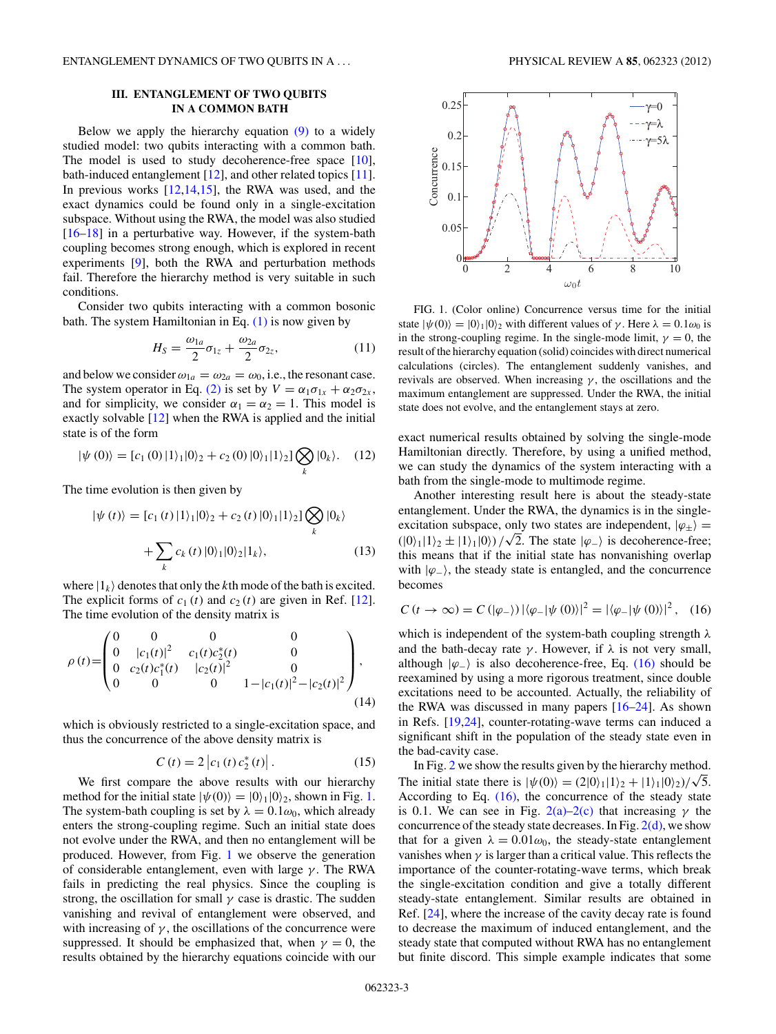## **III. ENTANGLEMENT OF TWO QUBITS IN A COMMON BATH**

Below we apply the hierarchy equation  $(9)$  to a widely studied model: two qubits interacting with a common bath. The model is used to study decoherence-free space [\[10\]](#page-5-0), bath-induced entanglement [\[12\]](#page-5-0), and other related topics [\[11\]](#page-5-0). In previous works  $[12,14,15]$ , the RWA was used, and the exact dynamics could be found only in a single-excitation subspace. Without using the RWA, the model was also studied [\[16–18\]](#page-5-0) in a perturbative way. However, if the system-bath coupling becomes strong enough, which is explored in recent experiments [\[9\]](#page-5-0), both the RWA and perturbation methods fail. Therefore the hierarchy method is very suitable in such conditions.

Consider two qubits interacting with a common bosonic bath. The system Hamiltonian in Eq.  $(1)$  is now given by

$$
H_S = \frac{\omega_{1a}}{2}\sigma_{1z} + \frac{\omega_{2a}}{2}\sigma_{2z},\tag{11}
$$

and below we consider  $\omega_{1a} = \omega_{2a} = \omega_0$ , i.e., the resonant case. The system operator in Eq. [\(2\)](#page-0-0) is set by  $V = \alpha_1 \sigma_{1x} + \alpha_2 \sigma_{2x}$ , and for simplicity, we consider  $\alpha_1 = \alpha_2 = 1$ . This model is exactly solvable [\[12\]](#page-5-0) when the RWA is applied and the initial state is of the form

$$
|\psi(0)\rangle = [c_1(0)|1\rangle_1|0\rangle_2 + c_2(0)|0\rangle_1|1\rangle_2] \bigotimes_k |0_k\rangle. \quad (12)
$$

The time evolution is then given by

$$
|\psi(t)\rangle = [c_1(t) |1\rangle_1 |0\rangle_2 + c_2(t) |0\rangle_1 |1\rangle_2] \bigotimes_k |0_k\rangle
$$
  
+ 
$$
\sum_k c_k(t) |0\rangle_1 |0\rangle_2 |1_k\rangle, \qquad (13)
$$

where  $|1_k\rangle$  denotes that only the *k*th mode of the bath is excited. The explicit forms of  $c_1(t)$  and  $c_2(t)$  are given in Ref. [\[12\]](#page-5-0). The time evolution of the density matrix is

$$
\rho(t) = \begin{pmatrix} 0 & 0 & 0 & 0 \\ 0 & |c_1(t)|^2 & c_1(t)c_2^*(t) & 0 \\ 0 & c_2(t)c_1^*(t) & |c_2(t)|^2 & 0 \\ 0 & 0 & 0 & 1-|c_1(t)|^2-|c_2(t)|^2 \end{pmatrix},
$$
\n(14)

which is obviously restricted to a single-excitation space, and thus the concurrence of the above density matrix is

$$
C(t) = 2 |c_1(t) c_2^*(t)|.
$$
 (15)

We first compare the above results with our hierarchy method for the initial state  $|\psi(0)\rangle=|0\rangle_1|0\rangle_2$ , shown in Fig. 1. The system-bath coupling is set by  $\lambda = 0.1\omega_0$ , which already enters the strong-coupling regime. Such an initial state does not evolve under the RWA, and then no entanglement will be produced. However, from Fig. 1 we observe the generation of considerable entanglement, even with large *γ* . The RWA fails in predicting the real physics. Since the coupling is strong, the oscillation for small  $\gamma$  case is drastic. The sudden vanishing and revival of entanglement were observed, and with increasing of  $\gamma$ , the oscillations of the concurrence were suppressed. It should be emphasized that, when  $\gamma = 0$ , the results obtained by the hierarchy equations coincide with our



FIG. 1. (Color online) Concurrence versus time for the initial state  $|\psi(0)\rangle=|0\rangle_1|0\rangle_2$  with different values of *γ*. Here  $\lambda=0.1\omega_0$  is in the strong-coupling regime. In the single-mode limit,  $\gamma = 0$ , the result of the hierarchy equation (solid) coincides with direct numerical calculations (circles). The entanglement suddenly vanishes, and revivals are observed. When increasing *γ* , the oscillations and the maximum entanglement are suppressed. Under the RWA, the initial state does not evolve, and the entanglement stays at zero.

exact numerical results obtained by solving the single-mode Hamiltonian directly. Therefore, by using a unified method, we can study the dynamics of the system interacting with a bath from the single-mode to multimode regime.

Another interesting result here is about the steady-state entanglement. Under the RWA, the dynamics is in the singleexcitation subspace, only two states are independent,  $|\varphi_{\pm}\rangle$  = exclusion subspace, only two states are independent,  $|\psi_{\pm}\rangle =$ <br>(|0)<sub>1</sub>|1)<sub>2</sub>  $\pm$  |1)<sub>1</sub>|0)) / $\sqrt{2}$ . The state  $|\varphi_{-}\rangle$  is decoherence-free; this means that if the initial state has nonvanishing overlap with  $|\varphi_{-}\rangle$ , the steady state is entangled, and the concurrence becomes

$$
C(t \to \infty) = C(|\varphi_-\rangle) |\langle \varphi_- | \psi(0) \rangle|^2 = |\langle \varphi_- | \psi(0) \rangle|^2, \quad (16)
$$

which is independent of the system-bath coupling strength *λ* and the bath-decay rate  $\gamma$ . However, if  $\lambda$  is not very small, although  $|\varphi_-\rangle$  is also decoherence-free, Eq. (16) should be reexamined by using a more rigorous treatment, since double excitations need to be accounted. Actually, the reliability of the RWA was discussed in many papers  $[16–24]$ . As shown in Refs. [\[19,24\]](#page-5-0), counter-rotating-wave terms can induced a significant shift in the population of the steady state even in the bad-cavity case.

In Fig. [2](#page-3-0) we show the results given by the hierarchy method. The initial state there is  $|\psi(0)\rangle = (2|0\rangle_1|1\rangle_2 + |1\rangle_1|0\rangle_2)/\sqrt{5}$ . According to Eq. (16), the concurrence of the steady state is 0.1. We can see in Fig.  $2(a)-2(c)$  that increasing  $\gamma$  the concurrence of the steady state decreases. In Fig.  $2(d)$ , we show that for a given  $\lambda = 0.01\omega_0$ , the steady-state entanglement vanishes when  $\gamma$  is larger than a critical value. This reflects the importance of the counter-rotating-wave terms, which break the single-excitation condition and give a totally different steady-state entanglement. Similar results are obtained in Ref. [\[24\]](#page-5-0), where the increase of the cavity decay rate is found to decrease the maximum of induced entanglement, and the steady state that computed without RWA has no entanglement but finite discord. This simple example indicates that some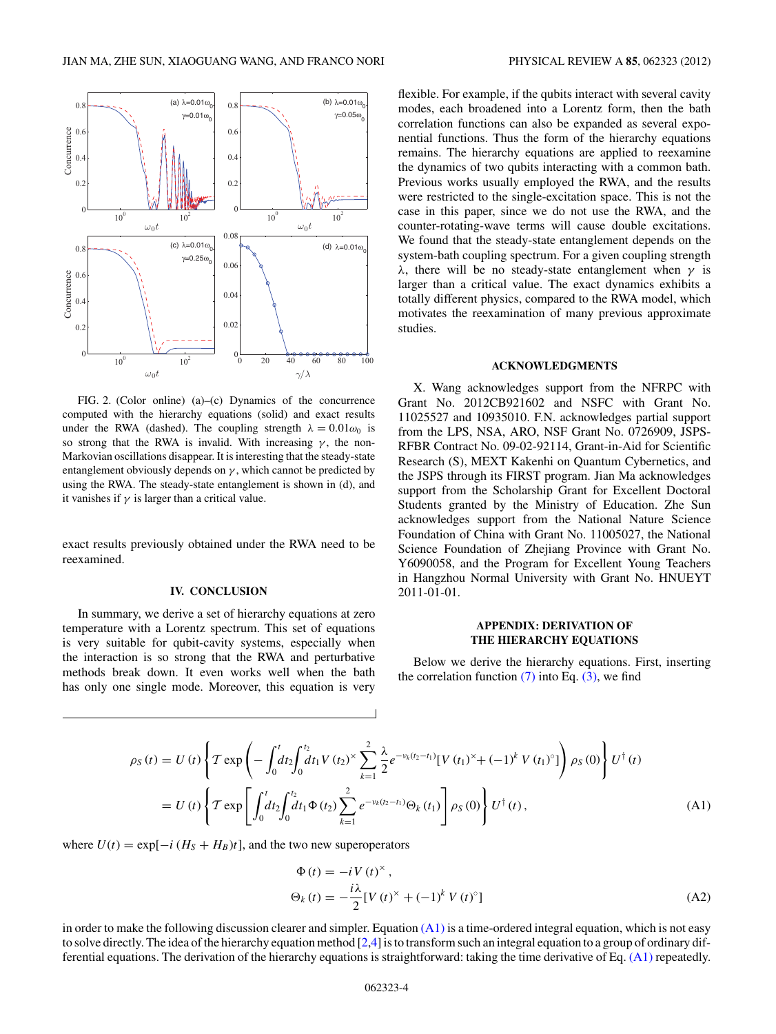<span id="page-3-0"></span>

FIG. 2. (Color online) (a)–(c) Dynamics of the concurrence computed with the hierarchy equations (solid) and exact results under the RWA (dashed). The coupling strength  $\lambda = 0.01\omega_0$  is so strong that the RWA is invalid. With increasing  $\gamma$ , the non-Markovian oscillations disappear. It is interesting that the steady-state entanglement obviously depends on  $\gamma$ , which cannot be predicted by using the RWA. The steady-state entanglement is shown in (d), and it vanishes if  $\gamma$  is larger than a critical value.

exact results previously obtained under the RWA need to be reexamined.

#### **IV. CONCLUSION**

In summary, we derive a set of hierarchy equations at zero temperature with a Lorentz spectrum. This set of equations is very suitable for qubit-cavity systems, especially when the interaction is so strong that the RWA and perturbative methods break down. It even works well when the bath has only one single mode. Moreover, this equation is very flexible. For example, if the qubits interact with several cavity modes, each broadened into a Lorentz form, then the bath correlation functions can also be expanded as several exponential functions. Thus the form of the hierarchy equations remains. The hierarchy equations are applied to reexamine the dynamics of two qubits interacting with a common bath. Previous works usually employed the RWA, and the results were restricted to the single-excitation space. This is not the case in this paper, since we do not use the RWA, and the counter-rotating-wave terms will cause double excitations. We found that the steady-state entanglement depends on the system-bath coupling spectrum. For a given coupling strength *λ*, there will be no steady-state entanglement when *γ* is larger than a critical value. The exact dynamics exhibits a totally different physics, compared to the RWA model, which motivates the reexamination of many previous approximate studies.

### **ACKNOWLEDGMENTS**

X. Wang acknowledges support from the NFRPC with Grant No. 2012CB921602 and NSFC with Grant No. 11025527 and 10935010. F.N. acknowledges partial support from the LPS, NSA, ARO, NSF Grant No. 0726909, JSPS-RFBR Contract No. 09-02-92114, Grant-in-Aid for Scientific Research (S), MEXT Kakenhi on Quantum Cybernetics, and the JSPS through its FIRST program. Jian Ma acknowledges support from the Scholarship Grant for Excellent Doctoral Students granted by the Ministry of Education. Zhe Sun acknowledges support from the National Nature Science Foundation of China with Grant No. 11005027, the National Science Foundation of Zhejiang Province with Grant No. Y6090058, and the Program for Excellent Young Teachers in Hangzhou Normal University with Grant No. HNUEYT 2011-01-01.

## **APPENDIX: DERIVATION OF THE HIERARCHY EQUATIONS**

Below we derive the hierarchy equations. First, inserting the correlation function  $(7)$  into Eq.  $(3)$ , we find

$$
\rho_S(t) = U(t) \left\{ T \exp \left( - \int_0^t dt_2 \int_0^{t_2} dt_1 V(t_2)^{\times} \sum_{k=1}^2 \frac{\lambda}{2} e^{-\nu_k (t_2 - t_1)} [V(t_1)^{\times} + (-1)^k V(t_1)^{\circ}] \right) \rho_S(0) \right\} U^{\dagger}(t)
$$
  
= 
$$
U(t) \left\{ T \exp \left[ \int_0^t dt_2 \int_0^{t_2} dt_1 \Phi(t_2) \sum_{k=1}^2 e^{-\nu_k (t_2 - t_1)} \Theta_k(t_1) \right] \rho_S(0) \right\} U^{\dagger}(t), \tag{A1}
$$

where  $U(t) = \exp[-i(H<sub>S</sub> + H<sub>B</sub>)t]$ , and the two new superoperators

$$
\Phi(t) = -i V(t)^{\times},
$$
  
\n
$$
\Theta_k(t) = -\frac{i\lambda}{2} [V(t)^{\times} + (-1)^k V(t)^{\circ}]
$$
\n(A2)

in order to make the following discussion clearer and simpler. Equation  $(A1)$  is a time-ordered integral equation, which is not easy to solve directly. The idea of the hierarchy equation method [\[2,4\]](#page-5-0) is to transform such an integral equation to a group of ordinary differential equations. The derivation of the hierarchy equations is straightforward: taking the time derivative of Eq. (A1) repeatedly.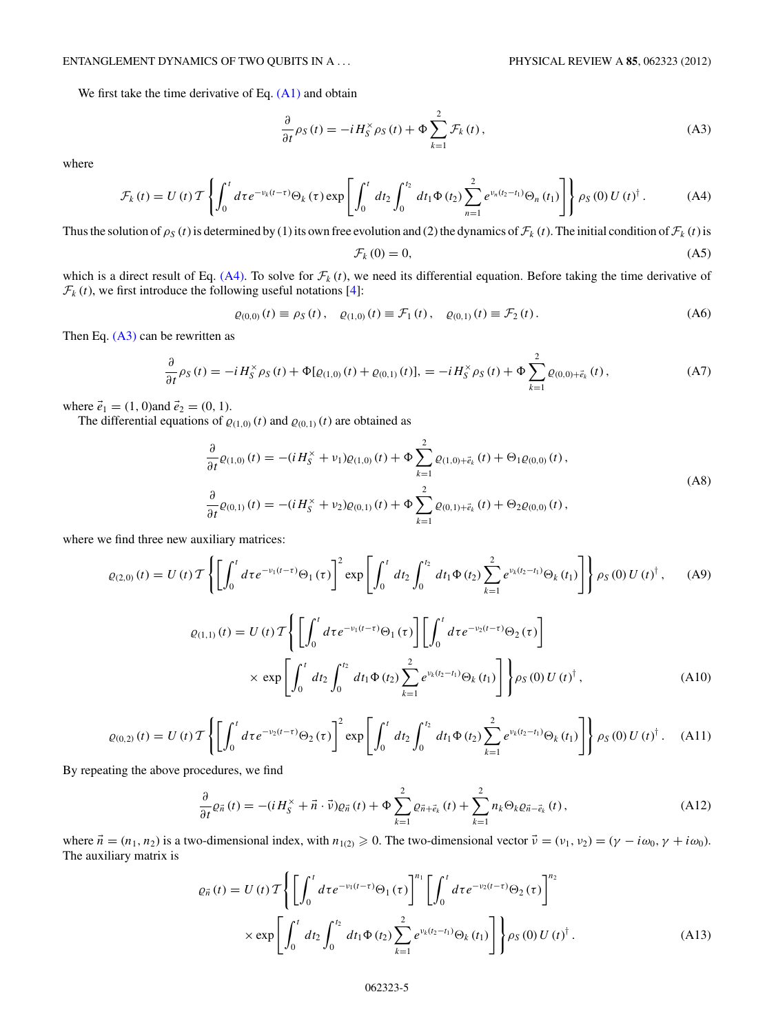## <span id="page-4-0"></span>ENTANGLEMENT DYNAMICS OF TWO QUBITS IN A *...* PHYSICAL REVIEW A **85**, 062323 (2012)

We first take the time derivative of Eq.  $(A1)$  and obtain

$$
\frac{\partial}{\partial t}\rho_S(t) = -iH_S^{\times}\rho_S(t) + \Phi \sum_{k=1}^2 \mathcal{F}_k(t),
$$
\n(A3)

where

$$
\mathcal{F}_{k}(t) = U(t) \mathcal{T} \left\{ \int_{0}^{t} d\tau e^{-\nu_{k}(t-\tau)} \Theta_{k}(\tau) \exp \left[ \int_{0}^{t} dt_{2} \int_{0}^{t_{2}} dt_{1} \Phi(t_{2}) \sum_{n=1}^{2} e^{\nu_{n}(t_{2}-t_{1})} \Theta_{n}(t_{1}) \right] \right\} \rho_{S}(0) U(t)^{\dagger}.
$$
 (A4)

Thus the solution of  $\rho_S(t)$  is determined by (1) its own free evolution and (2) the dynamics of  $\mathcal{F}_k(t)$ . The initial condition of  $\mathcal{F}_k(t)$  is

$$
\mathcal{F}_k(0) = 0,\tag{A5}
$$

which is a direct result of Eq.  $(A4)$ . To solve for  $\mathcal{F}_k(t)$ , we need its differential equation. Before taking the time derivative of  $\mathcal{F}_k(t)$ , we first introduce the following useful notations [\[4\]](#page-5-0):

$$
\varrho_{(0,0)}(t) \equiv \rho_S(t), \quad \varrho_{(1,0)}(t) \equiv \mathcal{F}_1(t), \quad \varrho_{(0,1)}(t) \equiv \mathcal{F}_2(t). \tag{A6}
$$

Then Eq.  $(A3)$  can be rewritten as

$$
\frac{\partial}{\partial t}\rho_{S}(t) = -iH_{S}^{\times}\rho_{S}(t) + \Phi[\varrho_{(1,0)}(t) + \varrho_{(0,1)}(t)], = -iH_{S}^{\times}\rho_{S}(t) + \Phi\sum_{k=1}^{2}\varrho_{(0,0)+\vec{e}_{k}}(t),
$$
\n(A7)

where  $\vec{e}_1 = (1, 0)$  and  $\vec{e}_2 = (0, 1)$ .

The differential equations of  $\varrho_{(1,0)}(t)$  and  $\varrho_{(0,1)}(t)$  are obtained as

$$
\frac{\partial}{\partial t}\varrho_{(1,0)}(t) = -(iH_S^{\times} + \nu_1)\varrho_{(1,0)}(t) + \Phi \sum_{k=1}^2 \varrho_{(1,0)+\vec{e}_k}(t) + \Theta_1 \varrho_{(0,0)}(t),
$$
\n
$$
\frac{\partial}{\partial t}\varrho_{(0,1)}(t) = -(iH_S^{\times} + \nu_2)\varrho_{(0,1)}(t) + \Phi \sum_{k=1}^2 \varrho_{(0,1)+\vec{e}_k}(t) + \Theta_2 \varrho_{(0,0)}(t),
$$
\n(A8)

where we find three new auxiliary matrices:

$$
\varrho_{(2,0)}(t) = U(t) \mathcal{T} \left\{ \left[ \int_0^t d\tau e^{-\nu_1(t-\tau)} \Theta_1(\tau) \right]^2 \exp \left[ \int_0^t dt_2 \int_0^{t_2} dt_1 \Phi(t_2) \sum_{k=1}^2 e^{\nu_k(t_2 - t_1)} \Theta_k(t_1) \right] \right\} \rho_S(0) U(t)^\dagger, \tag{A9}
$$

$$
\varrho_{(1,1)}(t) = U(t) \mathcal{T} \Bigg\{ \Bigg[ \int_0^t dt e^{-\nu_1(t-\tau)} \Theta_1(\tau) \Bigg] \Bigg[ \int_0^t dt e^{-\nu_2(t-\tau)} \Theta_2(\tau) \Bigg] \times \exp \Bigg[ \int_0^t dt_2 \int_0^{t_2} dt_1 \Phi(t_2) \sum_{k=1}^2 e^{\nu_k(t_2 - t_1)} \Theta_k(t_1) \Bigg] \Bigg\} \rho_S(0) U(t)^{\dagger}, \tag{A10}
$$

$$
\varrho_{(0,2)}(t) = U(t) \mathcal{T} \left\{ \left[ \int_0^t d\tau e^{-\nu_2(t-\tau)} \Theta_2(\tau) \right]^2 \exp \left[ \int_0^t dt_2 \int_0^{t_2} dt_1 \Phi(t_2) \sum_{k=1}^2 e^{\nu_k(t_2 - t_1)} \Theta_k(t_1) \right] \right\} \rho_S(0) U(t)^\dagger. \tag{A11}
$$

By repeating the above procedures, we find

$$
\frac{\partial}{\partial t}\varrho_{\vec{n}}\left(t\right) = -\left(iH_{S}^{\times} + \vec{n} \cdot \vec{v}\right)\varrho_{\vec{n}}\left(t\right) + \Phi \sum_{k=1}^{2} \varrho_{\vec{n}+\vec{e}_{k}}\left(t\right) + \sum_{k=1}^{2} n_{k} \Theta_{k} \varrho_{\vec{n}-\vec{e}_{k}}\left(t\right),\tag{A12}
$$

where  $\vec{n} = (n_1, n_2)$  is a two-dimensional index, with  $n_{1(2)} \ge 0$ . The two-dimensional vector  $\vec{v} = (v_1, v_2) = (\gamma - i\omega_0, \gamma + i\omega_0)$ . The auxiliary matrix is

$$
\varrho_{\vec{n}}(t) = U(t) \mathcal{T} \Biggl\{ \Biggl[ \int_0^t d\tau e^{-\nu_1(t-\tau)} \Theta_1(\tau) \Biggr]^{n_1} \Biggl[ \int_0^t d\tau e^{-\nu_2(t-\tau)} \Theta_2(\tau) \Biggr]^{n_2} \times \exp \Biggl[ \int_0^t dt_2 \int_0^{t_2} dt_1 \Phi(t_2) \sum_{k=1}^2 e^{\nu_k(t_2-t_1)} \Theta_k(t_1) \Biggr] \Biggr\} \rho_S(0) U(t)^{\dagger} . \tag{A13}
$$